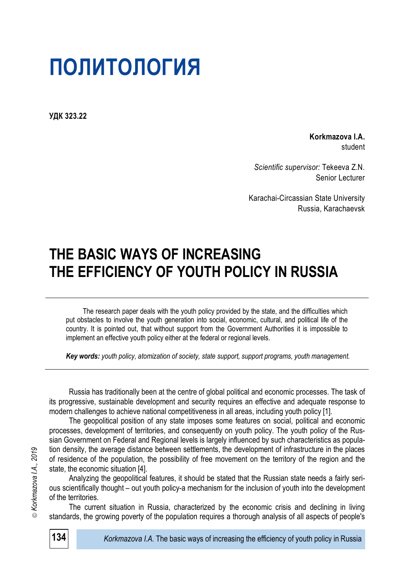# **ПОЛИТОЛОГИЯ**

**УДК 323.22**

**Korkmazova I.A.** student

*Scientific supervisor:* Tekeeva Z.N. Senior Lecturer

Karachai-Circassian State University Russia, Karachaevsk

## **THE BASIC WAYS OF INCREASING THE EFFICIENCY OF YOUTH POLICY IN RUSSIA**

The research paper deals with the youth policy provided by the state, and the difficulties which put obstacles to involve the youth generation into social, economic, cultural, and political life of the country. It is pointed out, that without support from the Government Authorities it is impossible to implement an effective youth policy either at the federal or regional levels.

*Key words: youth policy, atomization of society, state support, support programs, youth management.*

Russia has traditionally been at the centre of global political and economic processes. The task of its progressive, sustainable development and security requires an effective and adequate response to modern challenges to achieve national competitiveness in all areas, including youth policy [1].

The geopolitical position of any state imposes some features on social, political and economic processes, development of territories, and consequently on youth policy. The youth policy of the Russian Government on Federal and Regional levels is largely influenced by such characteristics as population density, the average distance between settlements, the development of infrastructure in the places of residence of the population, the possibility of free movement on the territory of the region and the state, the economic situation [4].

Analyzing the geopolitical features, it should be stated that the Russian state needs a fairly serious scientifically thought – out youth policy-a mechanism for the inclusion of youth into the development of the territories.

The current situation in Russia, characterized by the economic crisis and declining in living standards, the growing poverty of the population requires a thorough analysis of all aspects of people's

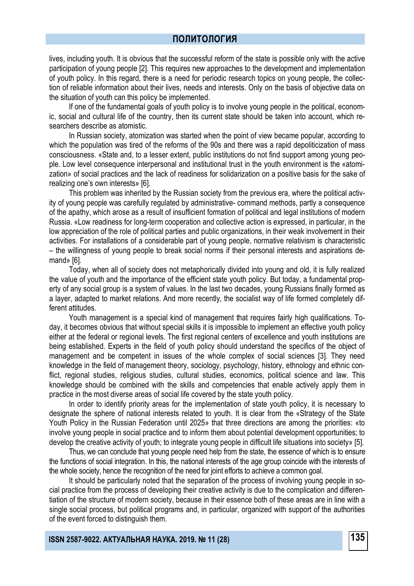#### **ПОЛИТОЛОГИЯ**

lives, including youth. It is obvious that the successful reform of the state is possible only with the active participation of young people [2]. This requires new approaches to the development and implementation of youth policy. In this regard, there is a need for periodic research topics on young people, the collection of reliable information about their lives, needs and interests. Only on the basis of objective data on the situation of youth can this policy be implemented.

If one of the fundamental goals of youth policy is to involve young people in the political, economic, social and cultural life of the country, then its current state should be taken into account, which researchers describe as atomistic.

In Russian society, atomization was started when the point of view became popular, according to which the population was tired of the reforms of the 90s and there was a rapid depoliticization of mass consciousness. «State and, to a lesser extent, public institutions do not find support among young people. Low level consequence interpersonal and institutional trust in the youth environment is the «atomization» of social practices and the lack of readiness for solidarization on a positive basis for the sake of realizing one's own interests» [6].

This problem was inherited by the Russian society from the previous era, where the political activity of young people was carefully regulated by administrative- command methods, partly a consequence of the apathy, which arose as a result of insufficient formation of political and legal institutions of modern Russia. «Low readiness for long-term cooperation and collective action is expressed, in particular, in the low appreciation of the role of political parties and public organizations, in their weak involvement in their activities. For installations of a considerable part of young people, normative relativism is characteristic – the willingness of young people to break social norms if their personal interests and aspirations demand» [6].

Today, when all of society does not metaphorically divided into young and old, it is fully realized the value of youth and the importance of the efficient state youth policy. But today, a fundamental property of any social group is a system of values. In the last two decades, young Russians finally formed as a layer, adapted to market relations. And more recently, the socialist way of life formed completely different attitudes.

Youth management is a special kind of management that requires fairly high qualifications. Today, it becomes obvious that without special skills it is impossible to implement an effective youth policy either at the federal or regional levels. The first regional centers of excellence and youth institutions are being established. Experts in the field of youth policy should understand the specifics of the object of management and be competent in issues of the whole complex of social sciences [3]. They need knowledge in the field of management theory, sociology, psychology, history, ethnology and ethnic conflict, regional studies, religious studies, cultural studies, economics, political science and law. This knowledge should be combined with the skills and competencies that enable actively apply them in practice in the most diverse areas of social life covered by the state youth policy.

In order to identify priority areas for the implementation of state youth policy, it is necessary to designate the sphere of national interests related to youth. It is clear from the «Strategy of the State Youth Policy in the Russian Federation until 2025» that three directions are among the priorities: «to involve young people in social practice and to inform them about potential development opportunities; to develop the creative activity of youth; to integrate young people in difficult life situations into society» [5].

Thus, we can conclude that young people need help from the state, the essence of which is to ensure the functions of social integration. In this, the national interests of the age group coincide with the interests of the whole society, hence the recognition of the need for joint efforts to achieve a common goal.

It should be particularly noted that the separation of the process of involving young people in social practice from the process of developing their creative activity is due to the complication and differentiation of the structure of modern society, because in their essence both of these areas are in line with a single social process, but political programs and, in particular, organized with support of the authorities of the event forced to distinguish them.

**135 ISSN 2587-9022. АКТУАЛЬНАЯ НАУКА. 2019. № 11 (28)**